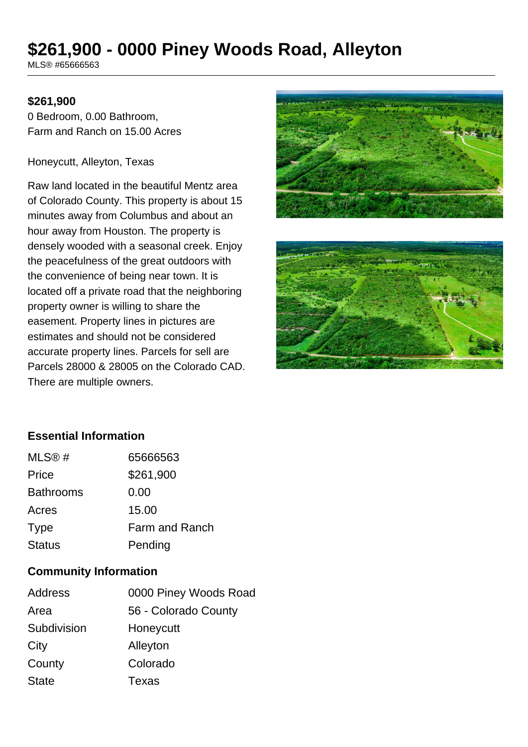# **\$261,900 - 0000 Piney Woods Road, Alleyton**

MLS® #65666563

#### **\$261,900**

0 Bedroom, 0.00 Bathroom, Farm and Ranch on 15.00 Acres

Honeycutt, Alleyton, Texas

Raw land located in the beautiful Mentz area of Colorado County. This property is about 15 minutes away from Columbus and about an hour away from Houston. The property is densely wooded with a seasonal creek. Enjoy the peacefulness of the great outdoors with the convenience of being near town. It is located off a private road that the neighboring property owner is willing to share the easement. Property lines in pictures are estimates and should not be considered accurate property lines. Parcels for sell are Parcels 28000 & 28005 on the Colorado CAD. There are multiple owners.





## **Essential Information**

| MLS@#            | 65666563       |
|------------------|----------------|
| Price            | \$261,900      |
| <b>Bathrooms</b> | 0.00           |
| Acres            | 15.00          |
| <b>Type</b>      | Farm and Ranch |
| <b>Status</b>    | Pending        |

#### **Community Information**

| Address      | 0000 Piney Woods Road |
|--------------|-----------------------|
| Area         | 56 - Colorado County  |
| Subdivision  | Honeycutt             |
| City         | Alleyton              |
| County       | Colorado              |
| <b>State</b> | Texas                 |